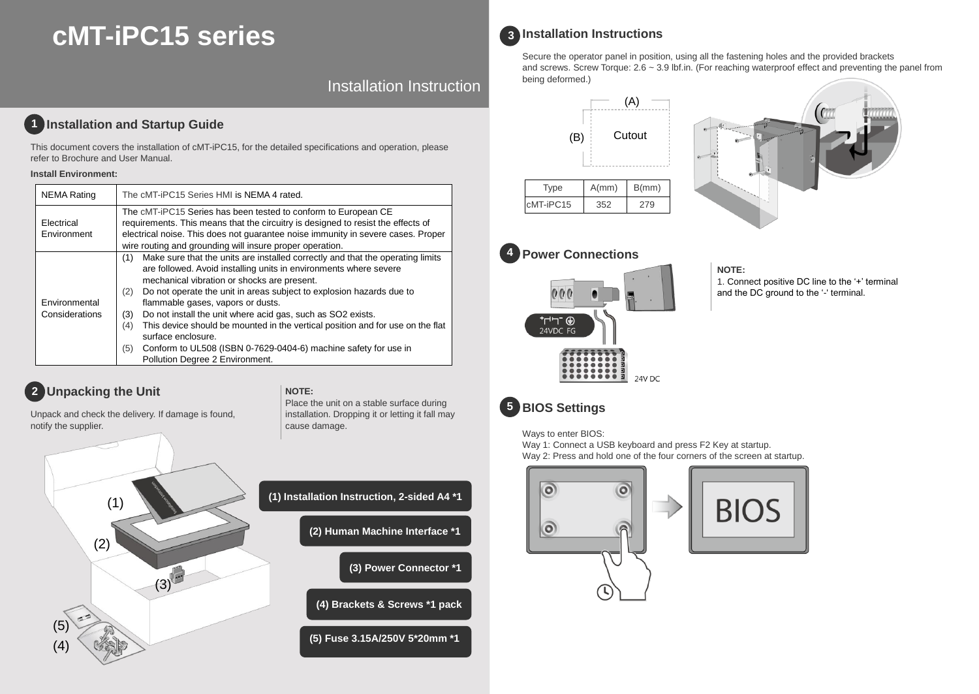# **cMT-iPC15 series**

Installation Instruction

# **1** Installation and Startup Guide

This document covers the installation of cMT-iPC15, for the detailed specifications and operation, please refer to Brochure and User Manual.

### **Install Environment:**

| <b>NEMA Rating</b>              | The cMT-iPC15 Series HMI is NEMA 4 rated.                                                                                                                                                                                                                                                                                                                                                                                                                                                                                                                                                                                       |
|---------------------------------|---------------------------------------------------------------------------------------------------------------------------------------------------------------------------------------------------------------------------------------------------------------------------------------------------------------------------------------------------------------------------------------------------------------------------------------------------------------------------------------------------------------------------------------------------------------------------------------------------------------------------------|
| Electrical<br>Environment       | The cMT-iPC15 Series has been tested to conform to European CE<br>requirements. This means that the circuitry is designed to resist the effects of<br>electrical noise. This does not quarantee noise immunity in severe cases. Proper<br>wire routing and grounding will insure proper operation.                                                                                                                                                                                                                                                                                                                              |
| Environmental<br>Considerations | Make sure that the units are installed correctly and that the operating limits<br>(1)<br>are followed. Avoid installing units in environments where severe<br>mechanical vibration or shocks are present.<br>Do not operate the unit in areas subject to explosion hazards due to<br>(2)<br>flammable gases, vapors or dusts.<br>Do not install the unit where acid gas, such as SO2 exists.<br>(3)<br>This device should be mounted in the vertical position and for use on the flat<br>(4)<br>surface enclosure.<br>Conform to UL508 (ISBN 0-7629-0404-6) machine safety for use in<br>(5)<br>Pollution Degree 2 Environment. |

**NOTE:** 

cause damage.

# **Unpacking the Unit 2**

Unpack and check the delivery. If damage is found, notify the supplier.



| (1) Installation Instruction, 2-sided A4 *1 |
|---------------------------------------------|
| (2) Human Machine Interface *1              |
| (3) Power Connector *1                      |
|                                             |

Place the unit on a stable surface during installation. Dropping it or letting it fall may

**(4) Brackets & Screws \*1 pack**

**(5) Fuse 3.15A/250V 5\*20mm \*1**

# **Installation Instructions 3**

Secure the operator panel in position, using all the fastening holes and the provided brackets and screws. Screw Torque: 2.6 ~ 3.9 lbf.in. (For reaching waterproof effect and preventing the panel from being deformed.)







.........

### **NOTE:**

- 1. Connect positive DC line to the '+' terminal
- and the DC ground to the '-' terminal.

# **BIOS Settings 5**

 $000$ 

⊕ ־ריה 24VDC FG

Ways to enter BIOS:

Way 1: Connect a USB keyboard and press F2 Key at startup. Way 2: Press and hold one of the four corners of the screen at startup.

24V DC